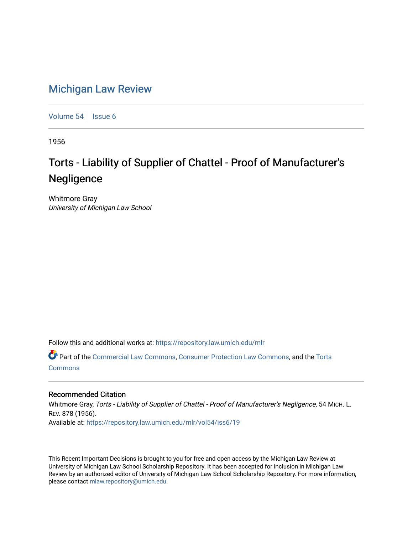## [Michigan Law Review](https://repository.law.umich.edu/mlr)

[Volume 54](https://repository.law.umich.edu/mlr/vol54) | [Issue 6](https://repository.law.umich.edu/mlr/vol54/iss6)

1956

## Torts - Liability of Supplier of Chattel - Proof of Manufacturer's **Negligence**

Whitmore Gray University of Michigan Law School

Follow this and additional works at: [https://repository.law.umich.edu/mlr](https://repository.law.umich.edu/mlr?utm_source=repository.law.umich.edu%2Fmlr%2Fvol54%2Fiss6%2F19&utm_medium=PDF&utm_campaign=PDFCoverPages) 

Part of the [Commercial Law Commons](http://network.bepress.com/hgg/discipline/586?utm_source=repository.law.umich.edu%2Fmlr%2Fvol54%2Fiss6%2F19&utm_medium=PDF&utm_campaign=PDFCoverPages), [Consumer Protection Law Commons,](http://network.bepress.com/hgg/discipline/838?utm_source=repository.law.umich.edu%2Fmlr%2Fvol54%2Fiss6%2F19&utm_medium=PDF&utm_campaign=PDFCoverPages) and the [Torts](http://network.bepress.com/hgg/discipline/913?utm_source=repository.law.umich.edu%2Fmlr%2Fvol54%2Fiss6%2F19&utm_medium=PDF&utm_campaign=PDFCoverPages)  **[Commons](http://network.bepress.com/hgg/discipline/913?utm_source=repository.law.umich.edu%2Fmlr%2Fvol54%2Fiss6%2F19&utm_medium=PDF&utm_campaign=PDFCoverPages)** 

## Recommended Citation

Whitmore Gray, Torts - Liability of Supplier of Chattel - Proof of Manufacturer's Negligence, 54 MICH. L. REV. 878 (1956). Available at: [https://repository.law.umich.edu/mlr/vol54/iss6/19](https://repository.law.umich.edu/mlr/vol54/iss6/19?utm_source=repository.law.umich.edu%2Fmlr%2Fvol54%2Fiss6%2F19&utm_medium=PDF&utm_campaign=PDFCoverPages) 

This Recent Important Decisions is brought to you for free and open access by the Michigan Law Review at University of Michigan Law School Scholarship Repository. It has been accepted for inclusion in Michigan Law Review by an authorized editor of University of Michigan Law School Scholarship Repository. For more information, please contact [mlaw.repository@umich.edu.](mailto:mlaw.repository@umich.edu)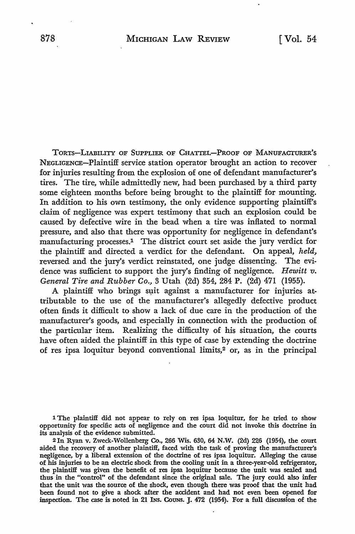TORTS-LIABILITY OF SUPPLIER OF CHATTEL-PROOF OF MANUFACTURER'S NEGLIGENCE-Plaintiff service station operator brought an action to recover for injuries resulting from the explosion of one of defendant manufacturer's tires. The tire, while admittedly new, had been purchased by a third party some eighteen months before being brought to the plaintiff for mounting. In addition to his own testimony, the only evidence supporting plaintiff's claim of negligence was expert testimony that such an explosion could be caused by defective wire in the bead when a tire was inflated to normal pressure, and also that there was opportunity for negligence in defendant's manufacturing processes.1 The district court set aside the jury verdict for the plaintiff and directed a verdict for the defendant. On appeal, *held,*  reversed and the jury's verdict reinstated, one judge dissenting. The evidence was sufficient to support the jury's finding of negligence. *Hewitt v. General Tire and Rubber Co.,* 3 Utah (2d) 354, 284 P. (2d) 471 (1955).

A plaintiff who brings suit against a manufacturer for injuries attributable to the use of the manufacturer's allegedly defective product often finds it difficult to show a lack of due care in the production of the manufacturer's goods, and especially in connection with the production of the particular item. Realizing the difficulty of his situation, the courts have often aided the plaintiff in this type of case by extending the doctrine of res ipsa loquitur beyond conventional limits,2 or, as in the principal

1 The plaintiff did not appear to rely on res ipsa loquitur, for he tried to show opportunity for specific acts of negligence and the court did not invoke this doctrine in its analysis of the evidence submitted.

2In Ryan v. Zweck-Wollenberg Co., 266 Wis. 630, 64 N.W. (2d) 226 (1954), the court aided the recovery of another plaintiff, faced with the task of proving the manufacturer's negligence, by a liberal extension of the doctrine of res ipsa loquitur. Alleging the cause of his injuries to be an electric shock from the cooling unit in a three-year-old refrigerator, the plaintiff was given the benefit of res ipsa loquitur because the unit was sealed and thus in the "control" of the defendant since the original sale. The jury could also infer that the unit was the source of the shock, even though there was proof that the unit had been found not to give a shock after the accident and had not even been opened for inspection. The case is noted in 21 INs. CoUNs. J. 472 (1954). For a full discussion of the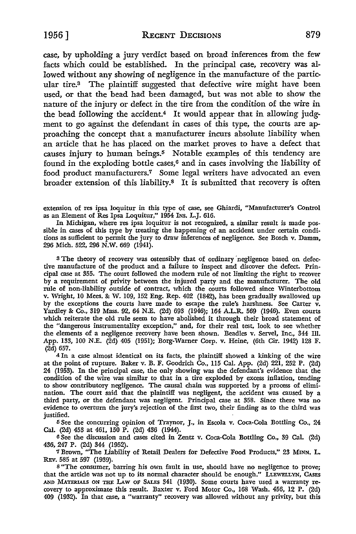case, by upholding a jury verdict based on broad inferences from the few facts which could be established. In the principal case, recovery was allowed without any showing of negligence in the manufacture of the particular tire.3 The plaintiff suggested that defective wire might have been used, or that the bead had been damaged, but was not able to show the nature of the injury or defect in the tire from the condition of the wire in the bead following the accident.<sup>4</sup> It would appear that in allowing judgment to go against the defendant in cases of this type, the courts are approaching the concept that a manufacturer incurs absolute liability when an article that he has placed on the market proves to have a defect that causes injury to human beings.5 Notable examples of this tendency are found in the exploding bottle cases, $6$  and in cases involving the liability of food product manufacturers.7 Some legal writers have advocated an even broader extension of this liability.8 It is submitted that recovery is often

extension of res ipsa Ioquitur in this type of case, see Ghiardi, "Manufacturer's Control as an Element of Res Ipsa Loquitur," 1954 INs. L.J. 616.

In Michigan, where res ipsa loquitur is not recognized, a similar result is made possible in cases of this type by treating the happening of an accident under certain conditions as sufficient to permit the jury to draw inferences of negligence. See Bosch v. Damm, 296 Mich. 522, 296 N.W. 669 (1941).

<sup>3</sup> The theory of recovery was ostensibly that of ordinary negligence based on defective manufacture of the product and a failure to inspect and discover the defect. Principal case at 355. The court followed the modern rule of not limiting the right to recover by a requirement of privity between the injured party and the manufacturer. The old rule of non-liability outside of contract, which the courts followed since Winterbottom v. Wright, IO Mees. & W. 109, 152 Eng. Rep. 402 (1842), has been gradually swallowed up by the exceptions the courts have made to escape the rule's harshness. See Carter v. Yardley & Co., 319 Mass. 92, 64 N.E. (2d) 693 (1946); 164 A.L.R. 569 (1946). Even courts which reiterate the old rule seem to have abolished it through their broad statement of the "dangerous instrumentality exception," and, for their real test, look to see whether the elements of a negligence recovery have been shown. Beadles v. Servel, Inc., 344 Ill. App. 133, 100 N.E. (2d) 405 (1951); Borg-Warner Corp. v. Heine, (6th Cir. 1942) 128 F. (2d) 657.

<sup>4</sup>In a case almost identical on its facts, the plaintiff showed a kinking of the wire at the point of rupture. Baker v. B. F. Goodrich Co., 115 Cal. App. (2d) 221, 252 P. (2d) 24 (1953). In the principal case, the only showing was the defendant's evidence that the condition of the wire was similar to that in a tire exploded by excess inflation, tending to show contributory negligence. The causal chain was supported by a process of elimination. The court said that the plaintiff was negligent, the accident was caused by a third party, or the defendant was negligent. Principal case at 358. Since there was no evidence to overturn the jury's rejection of the first two, their finding as to the third was justified.

5 See the concurring opinion of Traynor, J., in Escola v. Coca-Cola Bottling Co., 24 Cal. (2d) 453 at 461, 150 P. (2d) 436 (1944).

6 See the discussion and cases cited in Zentz v. Coca-Cola Bottling Co., 39 Cal. (2d) 436, 247 P. (2d) 344 (1952).

7 Brown, "The Liability of Retail Dealers for Defective Food Products," 23 **MINN.** L. *REv.* 585 at 597 (1939).

<sup>8</sup>"The consumer, barring his own fault in use, should have no negligence to prove; that the article was not up to its normal character should be enough." LLEWELLYN, CASES AND MATERIALS ON THE LAW OF SALES 341 (1930). Some courts have used a warranty recovery to approximate this result. Baxter v. Ford Motor Co., 168 Wash. 456, 12 P. (2d) 409 (1932). In that case, a "warranty" recovery was allowed without any privity, but this